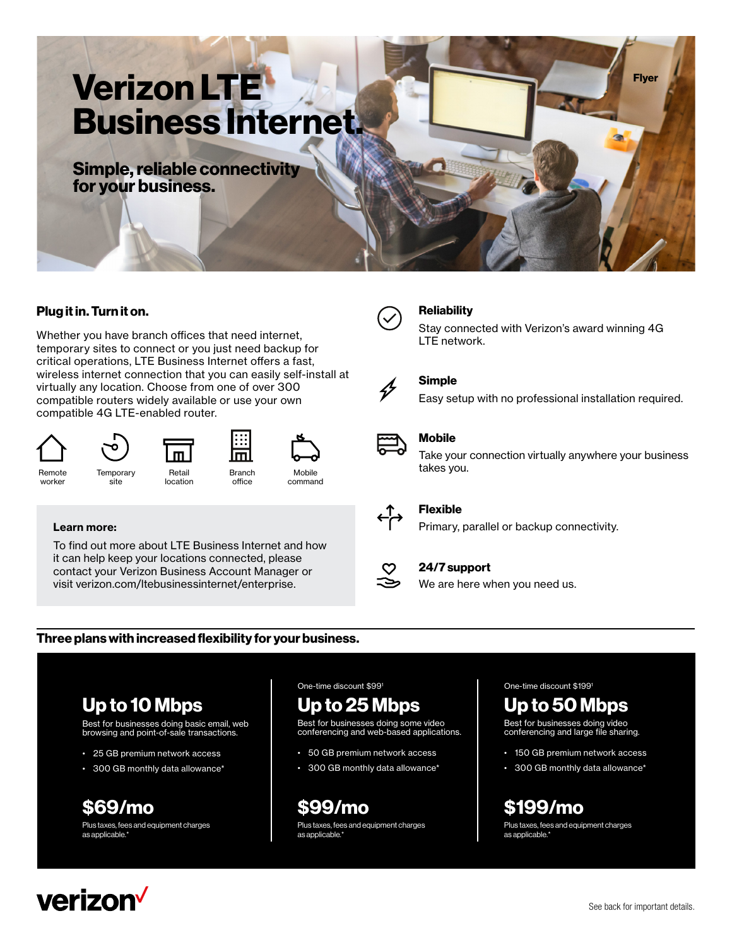

### **Plug it in. Turn it on.**

Whether you have branch offices that need internet, temporary sites to connect or you just need backup for critical operations, LTE Business Internet offers a fast, wireless internet connection that you can easily self-install at virtually any location. Choose from one of over 300 compatible routers widely available or use your own compatible 4G LTE-enabled router.





site







Remote worker

location

office

command

#### **Learn more:**

To find out more about LTE Business Internet and how it can help keep your locations connected, please contact your Verizon Business Account Manager or visit [verizon.com/ltebusinessinternet/enterprise.](http://verizon.com/ltebusinessinternet/enterprise)

Stay connected with Verizon's award winning 4G LTE network.



#### **Simple**

**Reliability**

Easy setup with no professional installation required.



#### **Mobile**

Take your connection virtually anywhere your business takes you.



#### **Flexible**

Primary, parallel or backup connectivity.



#### **24/7 support**

We are here when you need us.

#### **Three plans with increased flexibility for your business.**

## **Up to 10 Mbps**

Best for businesses doing basic email, web browsing and point-of-sale transactions.

- 25 GB premium network access
- 300 GB monthly data allowance\*

**\$69/mo** Plus taxes, fees and equipment charges as applicable.<sup>\*</sup>

#### One-time discount \$991

### **Up to 25 Mbps**

Best for businesses doing some video conferencing and web-based applications.

- 50 GB premium network access
- 300 GB monthly data allowance\*

**\$99/mo** Plus taxes, fees and equipment charges as applicable.\*

One-time discount \$1991

# **Up to 50 Mbps**

Best for businesses doing video conferencing and large file sharing.

- 150 GB premium network access
- 300 GB monthly data allowance\*

**\$199/mo** Plus taxes, fees and equipment charges as applicable.<sup>\*</sup>